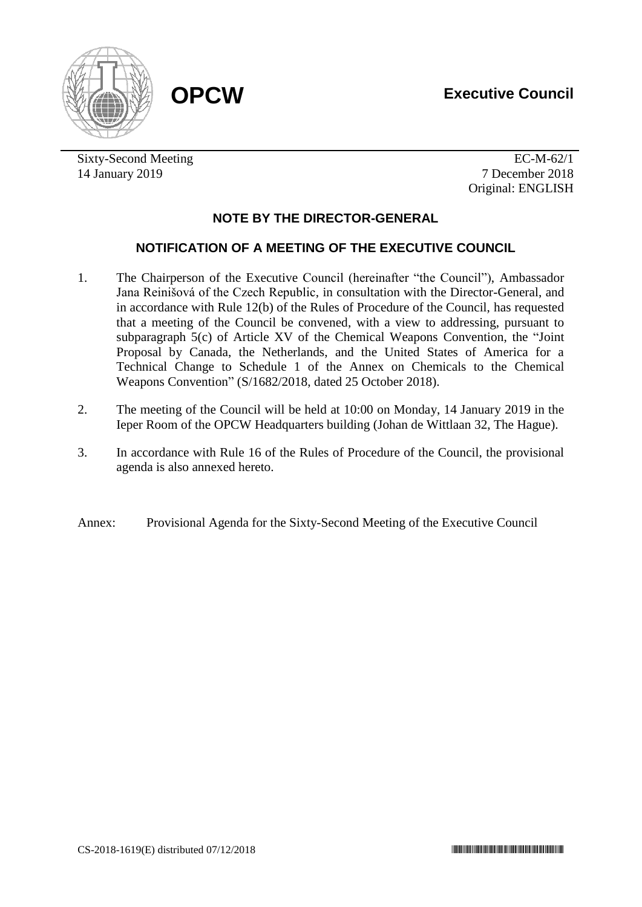# **OPCW Executive Council**





Sixty-Second Meeting EC-M-62/1 14 January 2019 7 December 2018

Original: ENGLISH

## **NOTE BY THE DIRECTOR-GENERAL**

## **NOTIFICATION OF A MEETING OF THE EXECUTIVE COUNCIL**

- 1. The Chairperson of the Executive Council (hereinafter "the Council"), Ambassador Jana Reinišová of the Czech Republic, in consultation with the Director-General, and in accordance with Rule 12(b) of the Rules of Procedure of the Council, has requested that a meeting of the Council be convened, with a view to addressing, pursuant to subparagraph 5(c) of Article XV of the Chemical Weapons Convention, the "Joint Proposal by Canada, the Netherlands, and the United States of America for a Technical Change to Schedule 1 of the Annex on Chemicals to the Chemical Weapons Convention" (S/1682/2018, dated 25 October 2018).
- 2. The meeting of the Council will be held at 10:00 on Monday, 14 January 2019 in the Ieper Room of the OPCW Headquarters building (Johan de Wittlaan 32, The Hague).
- 3. In accordance with Rule 16 of the Rules of Procedure of the Council, the provisional agenda is also annexed hereto.
- Annex: Provisional Agenda for the Sixty-Second Meeting of the Executive Council